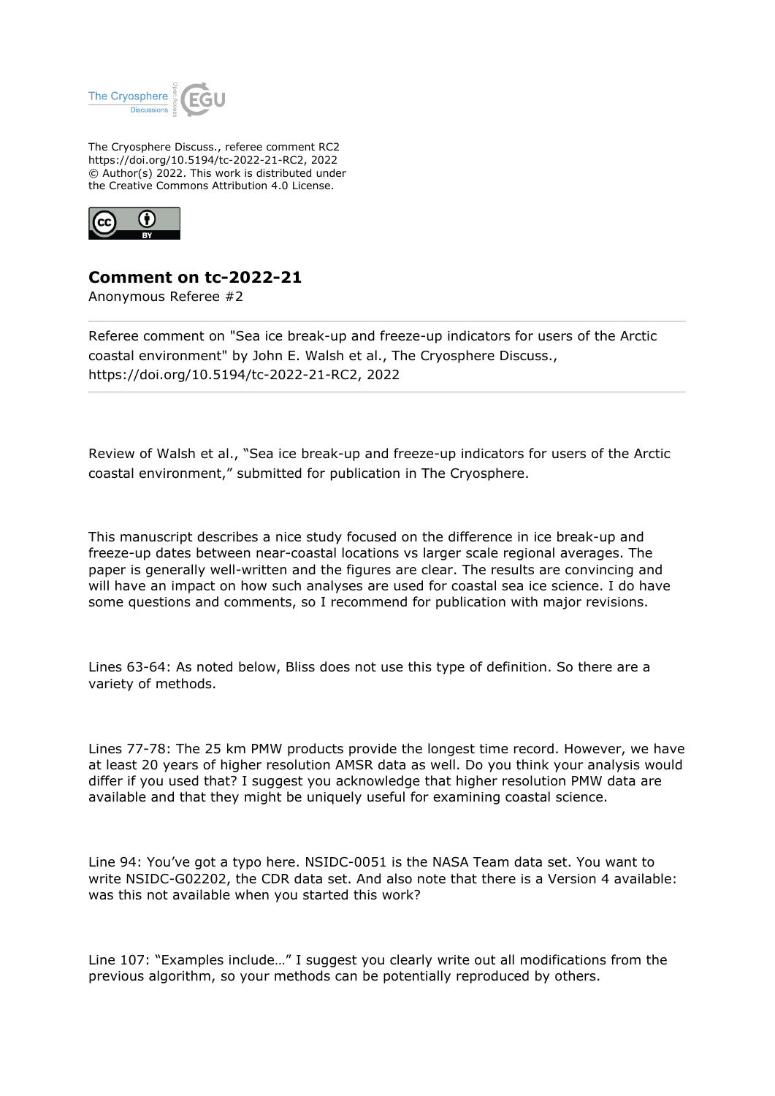

The Cryosphere Discuss., referee comment RC2 https://doi.org/10.5194/tc-2022-21-RC2, 2022 © Author(s) 2022. This work is distributed under the Creative Commons Attribution 4.0 License.



## **Comment on tc-2022-21**

Anonymous Referee #2

Referee comment on "Sea ice break-up and freeze-up indicators for users of the Arctic coastal environment" by John E. Walsh et al., The Cryosphere Discuss., https://doi.org/10.5194/tc-2022-21-RC2, 2022

Review of Walsh et al., "Sea ice break-up and freeze-up indicators for users of the Arctic coastal environment," submitted for publication in The Cryosphere.

This manuscript describes a nice study focused on the difference in ice break-up and freeze-up dates between near-coastal locations vs larger scale regional averages. The paper is generally well-written and the figures are clear. The results are convincing and will have an impact on how such analyses are used for coastal sea ice science. I do have some questions and comments, so I recommend for publication with major revisions.

Lines 63-64: As noted below, Bliss does not use this type of definition. So there are a variety of methods.

Lines 77-78: The 25 km PMW products provide the longest time record. However, we have at least 20 years of higher resolution AMSR data as well. Do you think your analysis would differ if you used that? I suggest you acknowledge that higher resolution PMW data are available and that they might be uniquely useful for examining coastal science.

Line 94: You've got a typo here. NSIDC-0051 is the NASA Team data set. You want to write NSIDC-G02202, the CDR data set. And also note that there is a Version 4 available: was this not available when you started this work?

Line 107: "Examples include…" I suggest you clearly write out all modifications from the previous algorithm, so your methods can be potentially reproduced by others.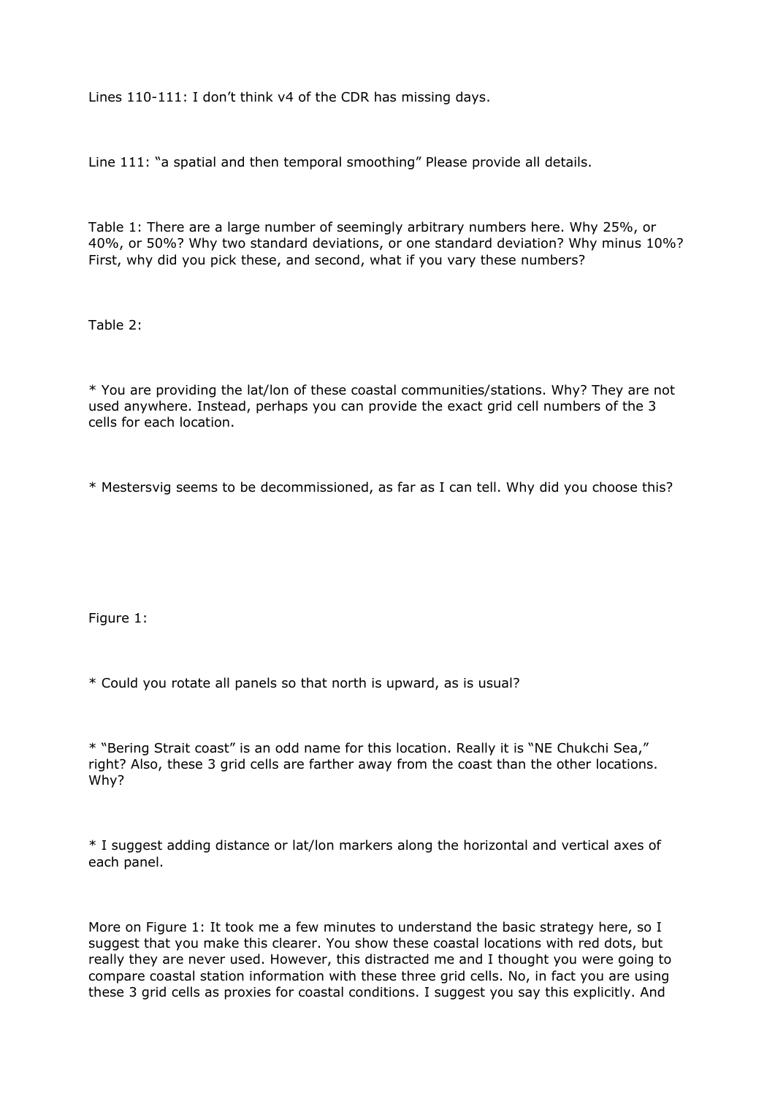Lines 110-111: I don't think v4 of the CDR has missing days.

Line 111: "a spatial and then temporal smoothing" Please provide all details.

Table 1: There are a large number of seemingly arbitrary numbers here. Why 25%, or 40%, or 50%? Why two standard deviations, or one standard deviation? Why minus 10%? First, why did you pick these, and second, what if you vary these numbers?

Table 2:

\* You are providing the lat/lon of these coastal communities/stations. Why? They are not used anywhere. Instead, perhaps you can provide the exact grid cell numbers of the 3 cells for each location.

\* Mestersvig seems to be decommissioned, as far as I can tell. Why did you choose this?

Figure 1:

\* Could you rotate all panels so that north is upward, as is usual?

\* "Bering Strait coast" is an odd name for this location. Really it is "NE Chukchi Sea," right? Also, these 3 grid cells are farther away from the coast than the other locations. Why?

\* I suggest adding distance or lat/lon markers along the horizontal and vertical axes of each panel.

More on Figure 1: It took me a few minutes to understand the basic strategy here, so I suggest that you make this clearer. You show these coastal locations with red dots, but really they are never used. However, this distracted me and I thought you were going to compare coastal station information with these three grid cells. No, in fact you are using these 3 grid cells as proxies for coastal conditions. I suggest you say this explicitly. And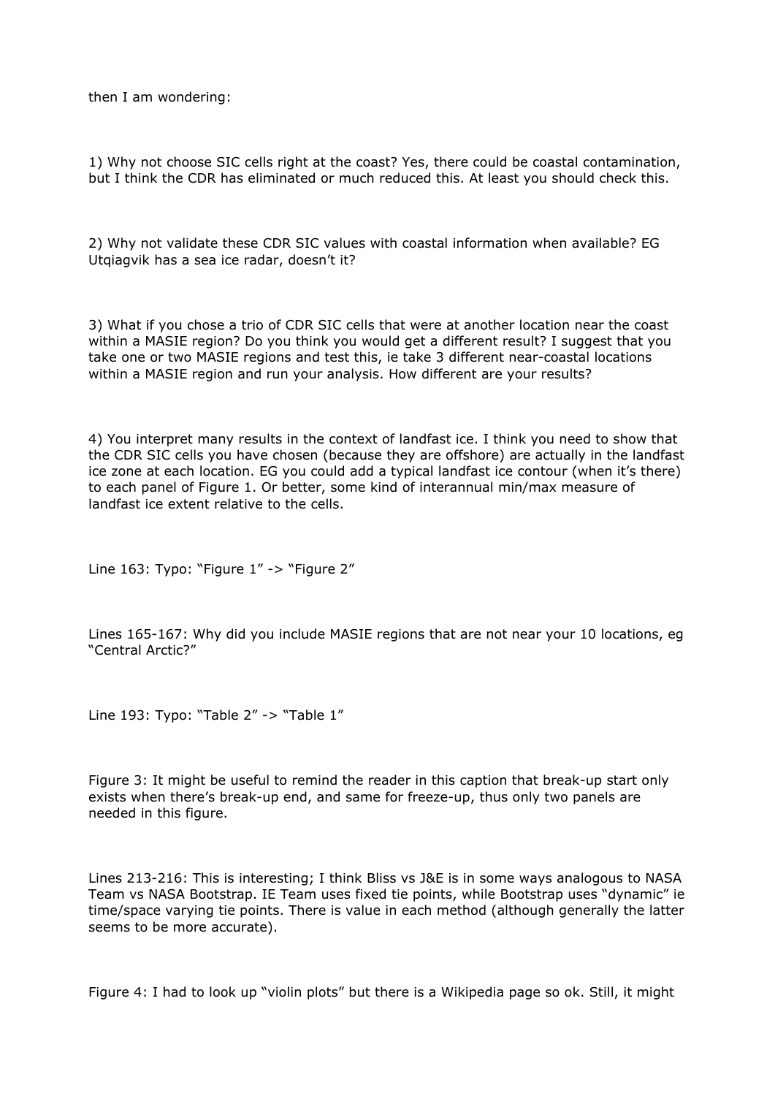then I am wondering:

1) Why not choose SIC cells right at the coast? Yes, there could be coastal contamination, but I think the CDR has eliminated or much reduced this. At least you should check this.

2) Why not validate these CDR SIC values with coastal information when available? EG Utqiagvik has a sea ice radar, doesn't it?

3) What if you chose a trio of CDR SIC cells that were at another location near the coast within a MASIE region? Do you think you would get a different result? I suggest that you take one or two MASIE regions and test this, ie take 3 different near-coastal locations within a MASIE region and run your analysis. How different are your results?

4) You interpret many results in the context of landfast ice. I think you need to show that the CDR SIC cells you have chosen (because they are offshore) are actually in the landfast ice zone at each location. EG you could add a typical landfast ice contour (when it's there) to each panel of Figure 1. Or better, some kind of interannual min/max measure of landfast ice extent relative to the cells.

Line 163: Typo: "Figure 1" -> "Figure 2"

Lines 165-167: Why did you include MASIE regions that are not near your 10 locations, eg "Central Arctic?"

Line 193: Typo: "Table 2" -> "Table 1"

Figure 3: It might be useful to remind the reader in this caption that break-up start only exists when there's break-up end, and same for freeze-up, thus only two panels are needed in this figure.

Lines 213-216: This is interesting; I think Bliss vs J&E is in some ways analogous to NASA Team vs NASA Bootstrap. IE Team uses fixed tie points, while Bootstrap uses "dynamic" ie time/space varying tie points. There is value in each method (although generally the latter seems to be more accurate).

Figure 4: I had to look up "violin plots" but there is a Wikipedia page so ok. Still, it might